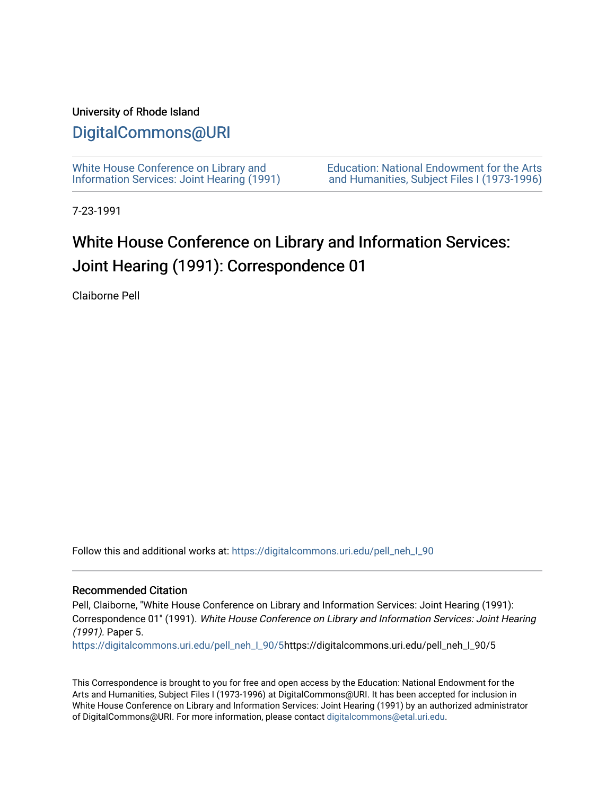### University of Rhode Island

### [DigitalCommons@URI](https://digitalcommons.uri.edu/)

[White House Conference on Library and](https://digitalcommons.uri.edu/pell_neh_I_90) [Information Services: Joint Hearing \(1991\)](https://digitalcommons.uri.edu/pell_neh_I_90) [Education: National Endowment for the Arts](https://digitalcommons.uri.edu/pell_neh_I)  [and Humanities, Subject Files I \(1973-1996\)](https://digitalcommons.uri.edu/pell_neh_I) 

7-23-1991

## White House Conference on Library and Information Services: Joint Hearing (1991): Correspondence 01

Claiborne Pell

Follow this and additional works at: [https://digitalcommons.uri.edu/pell\\_neh\\_I\\_90](https://digitalcommons.uri.edu/pell_neh_I_90?utm_source=digitalcommons.uri.edu%2Fpell_neh_I_90%2F5&utm_medium=PDF&utm_campaign=PDFCoverPages) 

#### Recommended Citation

Pell, Claiborne, "White House Conference on Library and Information Services: Joint Hearing (1991): Correspondence 01" (1991). White House Conference on Library and Information Services: Joint Hearing (1991). Paper 5.

[https://digitalcommons.uri.edu/pell\\_neh\\_I\\_90/5h](https://digitalcommons.uri.edu/pell_neh_I_90/5?utm_source=digitalcommons.uri.edu%2Fpell_neh_I_90%2F5&utm_medium=PDF&utm_campaign=PDFCoverPages)ttps://digitalcommons.uri.edu/pell\_neh\_I\_90/5

This Correspondence is brought to you for free and open access by the Education: National Endowment for the Arts and Humanities, Subject Files I (1973-1996) at DigitalCommons@URI. It has been accepted for inclusion in White House Conference on Library and Information Services: Joint Hearing (1991) by an authorized administrator of DigitalCommons@URI. For more information, please contact [digitalcommons@etal.uri.edu](mailto:digitalcommons@etal.uri.edu).